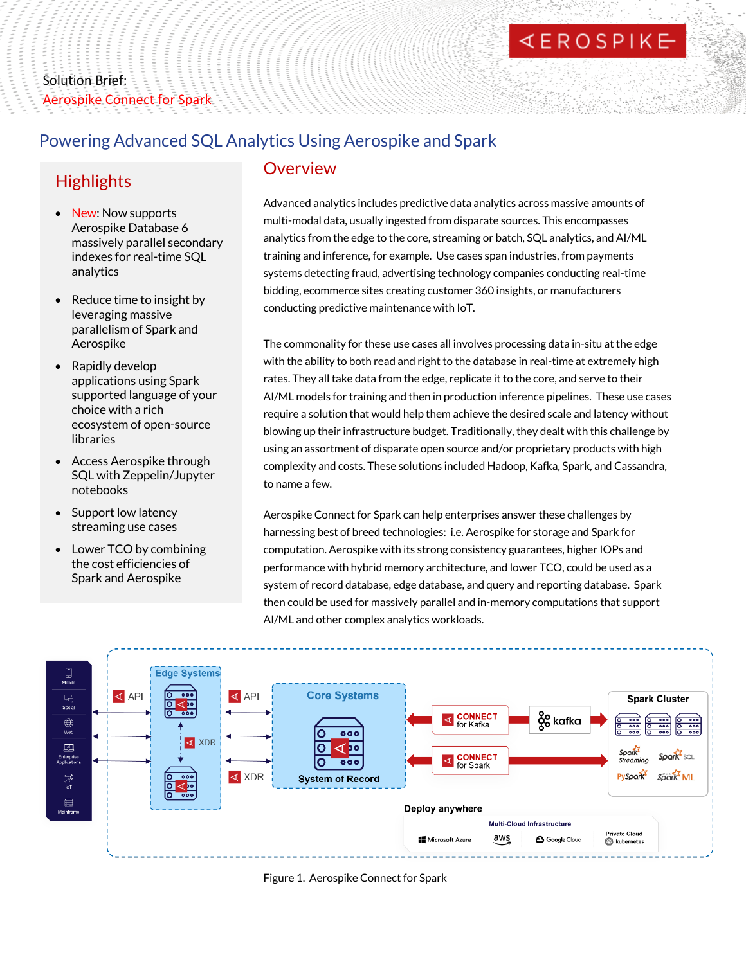# **EROSPIKE**

# Solution Brief: Aerospike Connect for Spark

#### Powering Advanced SQL Analytics Using Aerospike and Spark

## **Highlights**

- New: Now supports Aerospike Database 6 massively parallel secondary indexes for real-time SQL analytics
- Reduce time to insight by leveraging massive parallelism of Spark and Aerospike
- Rapidly develop applications using Spark supported language of your choice with a rich ecosystem of open-source libraries
- Access Aerospike through SQL with Zeppelin/Jupyter notebooks
- Support low latency streaming use cases
- Lower TCO by combining the cost efficiencies of Spark and Aerospike

#### Overview

Advanced analytics includes predictive data analytics across massive amounts of multi-modal data, usually ingested from disparate sources. This encompasses analytics from the edge to the core, streaming or batch, SQL analytics, and AI/ML training and inference, for example. Use cases span industries, from payments systems detecting fraud, advertising technology companies conducting real-time bidding, ecommerce sites creating customer 360 insights, or manufacturers conducting predictive maintenance with IoT.

The commonality for these use cases all involves processing data in-situ at the edge with the ability to both read and right to the database in real-time at extremely high rates. They all take data from the edge, replicate it to the core, and serve to their AI/ML models for training and then in production inference pipelines. These use cases require a solution that would help them achieve the desired scale and latency without blowing up their infrastructure budget. Traditionally, they dealt with this challenge by using an assortment of disparate open source and/or proprietary products with high complexity and costs. These solutions included Hadoop, Kafka, Spark, and Cassandra, to name a few.

Aerospike Connect for Spark can help enterprises answer these challenges by harnessing best of breed technologies: i.e. Aerospike for storage and Spark for computation. Aerospike with its strong consistency guarantees, higher IOPs and performance with hybrid memory architecture, and lower TCO, could be used as a system of record database, edge database, and query and reporting database. Spark then could be used for massively parallel and in-memory computations that support AI/ML and other complex analytics workloads.



Figure 1. Aerospike Connect for Spark